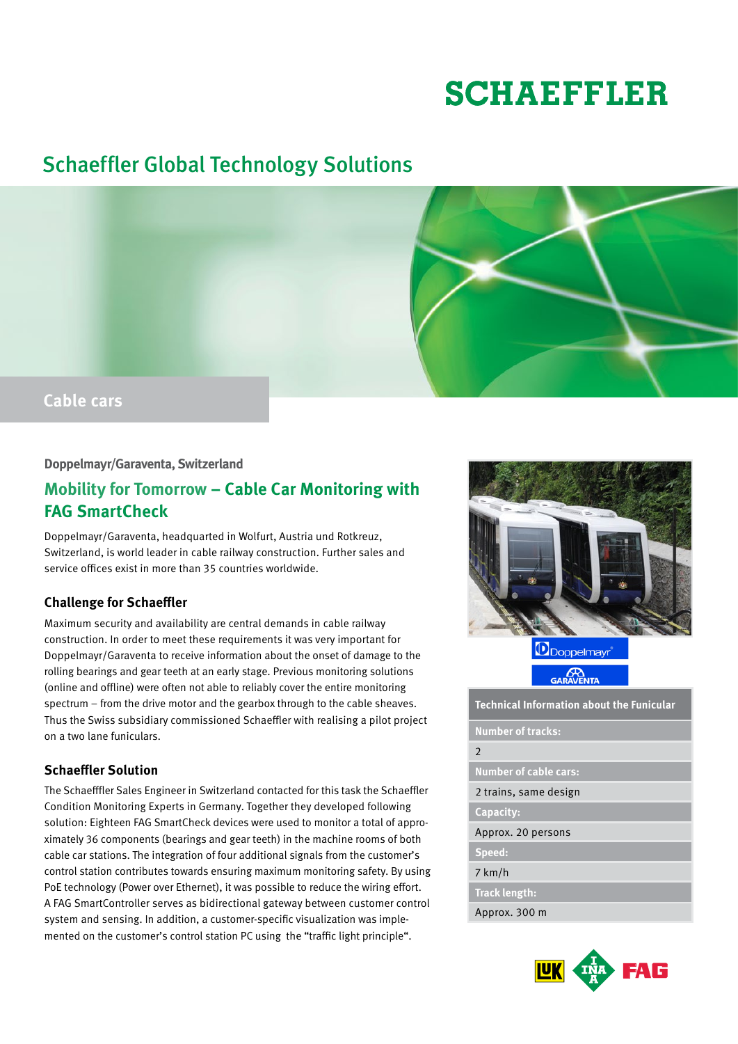# **SCHAEFFLER**

# Schaeffler Global Technology Solutions



#### **Doppelmayr/Garaventa, Switzerland**

## **Mobility for Tomorrow – Cable Car Monitoring with FAG SmartCheck**

Doppelmayr/Garaventa, headquarted in Wolfurt, Austria und Rotkreuz, Switzerland, is world leader in cable railway construction. Further sales and service offices exist in more than 35 countries worldwide.

### **Challenge for Schaeffler**

Maximum security and availability are central demands in cable railway construction. In order to meet these requirements it was very important for Doppelmayr/Garaventa to receive information about the onset of damage to the rolling bearings and gear teeth at an early stage. Previous monitoring solutions (online and offline) were often not able to reliably cover the entire monitoring spectrum – from the drive motor and the gearbox through to the cable sheaves. Thus the Swiss subsidiary commissioned Schaeffler with realising a pilot project on a two lane funiculars.

### **Schaeffler Solution**

The Schaefffler Sales Engineer in Switzerland contacted for this task the Schaeffler Condition Monitoring Experts in Germany. Together they developed following solution: Eighteen FAG SmartCheck devices were used to monitor a total of approximately 36 components (bearings and gear teeth) in the machine rooms of both cable car stations. The integration of four additional signals from the customer's control station contributes towards ensuring maximum monitoring safety. By using PoE technology (Power over Ethernet), it was possible to reduce the wiring effort. A FAG SmartController serves as bidirectional gateway between customer control system and sensing. In addition, a customer-specific visualization was implemented on the customer's control station PC using the "traffic light principle".



Doppelmayr

**CA**<br>GARAVENTA

**Technical Information about the Funicular**

**Number of tracks:**

#### 2

**Number of cable cars:** 

2 trains, same design

**Capacity:**

Approx. 20 persons

**Speed:**

7 km/h

**Track length:** 

Approx. 300 m